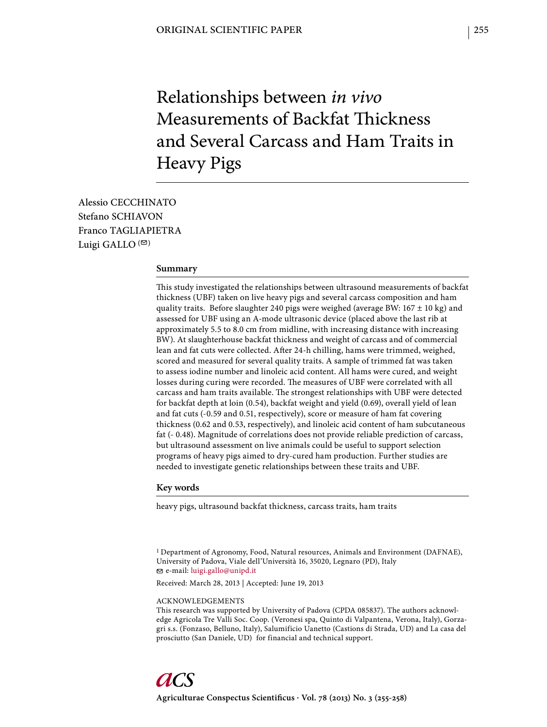# Relationships between *in vivo* Measurements of Backfat Thickness and Several Carcass and Ham Traits in Heavy Pigs

Alessio CECCHINATO Stefano SCHIAVON Franco TAGLIAPIETRA Luigi GALLO  $($ 

### **Summary**

This study investigated the relationships between ultrasound measurements of backfat thickness (UBF) taken on live heavy pigs and several carcass composition and ham quality traits. Before slaughter 240 pigs were weighed (average BW:  $167 \pm 10$  kg) and assessed for UBF using an A-mode ultrasonic device (placed above the last rib at approximately 5.5 to 8.0 cm from midline, with increasing distance with increasing BW). At slaughterhouse backfat thickness and weight of carcass and of commercial lean and fat cuts were collected. After 24-h chilling, hams were trimmed, weighed, scored and measured for several quality traits. A sample of trimmed fat was taken to assess iodine number and linoleic acid content. All hams were cured, and weight losses during curing were recorded. The measures of UBF were correlated with all carcass and ham traits available. The strongest relationships with UBF were detected for backfat depth at loin (0.54), backfat weight and yield (0.69), overall yield of lean and fat cuts (-0.59 and 0.51, respectively), score or measure of ham fat covering thickness (0.62 and 0.53, respectively), and linoleic acid content of ham subcutaneous fat (- 0.48). Magnitude of correlations does not provide reliable prediction of carcass, but ultrasound assessment on live animals could be useful to support selection programs of heavy pigs aimed to dry-cured ham production. Further studies are needed to investigate genetic relationships between these traits and UBF.

#### **Key words**

heavy pigs, ultrasound backfat thickness, carcass traits, ham traits

1 Department of Agronomy, Food, Natural resources, Animals and Environment (DAFNAE), University of Padova, Viale dell'Università 16, 35020, Legnaro (PD), Italy e-mail: luigi.gallo@unipd.it

Received: March 28, 2013 | Accepted: June 19, 2013

#### ACKNOWLEDGEMENTS

This research was supported by University of Padova (CPDA 085837). The authors acknowledge Agricola Tre Valli Soc. Coop. (Veronesi spa, Quinto di Valpantena, Verona, Italy), Gorzagri s.s. (Fonzaso, Belluno, Italy), Salumificio Uanetto (Castions di Strada, UD) and La casa del prosciutto (San Daniele, UD) for financial and technical support.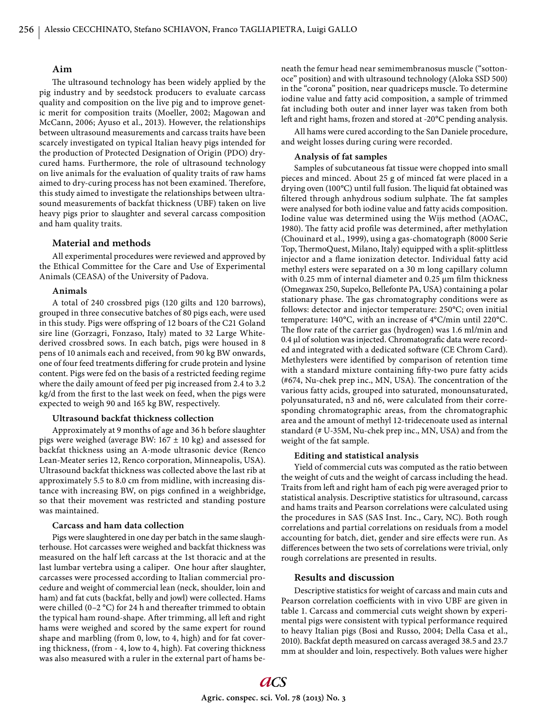## **Aim**

The ultrasound technology has been widely applied by the pig industry and by seedstock producers to evaluate carcass quality and composition on the live pig and to improve genetic merit for composition traits (Moeller, 2002; Magowan and McCann, 2006; Ayuso et al., 2013). However, the relationships between ultrasound measurements and carcass traits have been scarcely investigated on typical Italian heavy pigs intended for the production of Protected Designation of Origin (PDO) drycured hams. Furthermore, the role of ultrasound technology on live animals for the evaluation of quality traits of raw hams aimed to dry-curing process has not been examined. Therefore, this study aimed to investigate the relationships between ultrasound measurements of backfat thickness (UBF) taken on live heavy pigs prior to slaughter and several carcass composition and ham quality traits.

# **Material and methods**

All experimental procedures were reviewed and approved by the Ethical Committee for the Care and Use of Experimental Animals (CEASA) of the University of Padova.

#### **Animals**

A total of 240 crossbred pigs (120 gilts and 120 barrows), grouped in three consecutive batches of 80 pigs each, were used in this study. Pigs were offspring of 12 boars of the C21 Goland sire line (Gorzagri, Fonzaso, Italy) mated to 32 Large Whitederived crossbred sows. In each batch, pigs were housed in 8 pens of 10 animals each and received, from 90 kg BW onwards, one of four feed treatments differing for crude protein and lysine content. Pigs were fed on the basis of a restricted feeding regime where the daily amount of feed per pig increased from 2.4 to 3.2 kg/d from the first to the last week on feed, when the pigs were expected to weigh 90 and 165 kg BW, respectively.

#### **Ultrasound backfat thickness collection**

Approximately at 9 months of age and 36 h before slaughter pigs were weighed (average BW:  $167 \pm 10$  kg) and assessed for backfat thickness using an A-mode ultrasonic device (Renco Lean-Meater series 12, Renco corporation, Minneapolis, USA). Ultrasound backfat thickness was collected above the last rib at approximately 5.5 to 8.0 cm from midline, with increasing distance with increasing BW, on pigs confined in a weighbridge, so that their movement was restricted and standing posture was maintained.

#### **Carcass and ham data collection**

Pigs were slaughtered in one day per batch in the same slaughterhouse. Hot carcasses were weighed and backfat thickness was measured on the half left carcass at the 1st thoracic and at the last lumbar vertebra using a caliper. One hour after slaughter, carcasses were processed according to Italian commercial procedure and weight of commercial lean (neck, shoulder, loin and ham) and fat cuts (backfat, belly and jowl) were collected. Hams were chilled (0–2  $\degree$ C) for 24 h and thereafter trimmed to obtain the typical ham round-shape. After trimming, all left and right hams were weighed and scored by the same expert for round shape and marbling (from 0, low, to 4, high) and for fat covering thickness, (from - 4, low to 4, high). Fat covering thickness was also measured with a ruler in the external part of hams beneath the femur head near semimembranosus muscle ("sottonoce" position) and with ultrasound technology (Aloka SSD 500) in the "corona" position, near quadriceps muscle. To determine iodine value and fatty acid composition, a sample of trimmed fat including both outer and inner layer was taken from both left and right hams, frozen and stored at -20°C pending analysis.

All hams were cured according to the San Daniele procedure, and weight losses during curing were recorded.

#### **Analysis of fat samples**

Samples of subcutaneous fat tissue were chopped into small pieces and minced. About 25 g of minced fat were placed in a drying oven  $(100^{\circ}C)$  until full fusion. The liquid fat obtained was filtered through anhydrous sodium sulphate. The fat samples were analysed for both iodine value and fatty acids composition. Iodine value was determined using the Wijs method (AOAC, 1980). The fatty acid profile was determined, after methylation (Chouinard et al., 1999), using a gas-chomatograph (8000 Serie Top, ThermoQuest, Milano, Italy) equipped with a split-splittless injector and a flame ionization detector. Individual fatty acid methyl esters were separated on a 30 m long capillary column with 0.25 mm of internal diameter and 0.25  $\mu$ m film thickness (Omegawax 250, Supelco, Bellefonte PA, USA) containing a polar stationary phase. The gas chromatography conditions were as follows: detector and injector temperature: 250°C; oven initial temperature: 140°C, with an increase of 4°C/min until 220°C. The flow rate of the carrier gas (hydrogen) was 1.6 ml/min and 0.4 μl of solution was injected. Chromatografic data were recorded and integrated with a dedicated soft ware (CE Chrom Card). Methylesters were identified by comparison of retention time with a standard mixture containing fifty-two pure fatty acids  $(4674, Nu-chek$  prep inc., MN, USA). The concentration of the various fatty acids, grouped into saturated, monounsaturated, polyunsaturated, n3 and n6, were calculated from their corresponding chromatographic areas, from the chromatographic area and the amount of methyl 12-tridecenoate used as internal standard (# U-35M, Nu-chek prep inc., MN, USA) and from the weight of the fat sample.

#### **Editing and statistical analysis**

Yield of commercial cuts was computed as the ratio between the weight of cuts and the weight of carcass including the head. Traits from left and right ham of each pig were averaged prior to statistical analysis. Descriptive statistics for ultrasound, carcass and hams traits and Pearson correlations were calculated using the procedures in SAS (SAS Inst. Inc., Cary, NC). Both rough correlations and partial correlations on residuals from a model accounting for batch, diet, gender and sire effects were run. As differences between the two sets of correlations were trivial, only rough correlations are presented in results.

# **Results and discussion**

Descriptive statistics for weight of carcass and main cuts and Pearson correlation coefficients with in vivo UBF are given in table 1. Carcass and commercial cuts weight shown by experimental pigs were consistent with typical performance required to heavy Italian pigs (Bosi and Russo, 2004; Della Casa et al., 2010). Backfat depth measured on carcass averaged 38.5 and 23.7 mm at shoulder and loin, respectively. Both values were higher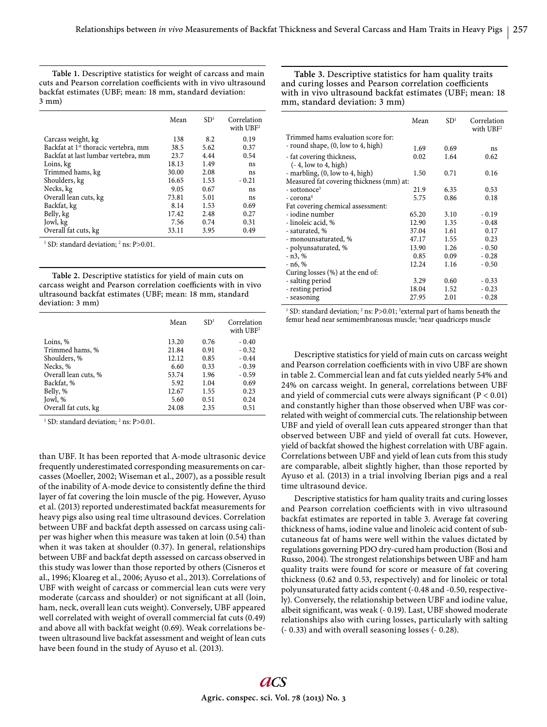**Table 1.** Descriptive statistics for weight of carcass and main cuts and Pearson correlation coefficients with in vivo ultrasound backfat estimates (UBF; mean: 18 mm, standard deviation: 3 mm)

|                                                  | Mean  | SD <sup>1</sup> | Correlation<br>with $UBF2$ |
|--------------------------------------------------|-------|-----------------|----------------------------|
| Carcass weight, kg                               | 138   | 8.2             | 0.19                       |
| Backfat at 1 <sup>st</sup> thoracic vertebra, mm | 38.5  | 5.62            | 0.37                       |
| Backfat at last lumbar vertebra, mm              | 23.7  | 4.44            | 0.54                       |
| Loins, kg                                        | 18.13 | 1.49            | ns                         |
| Trimmed hams, kg                                 | 30.00 | 2.08            | ns                         |
| Shoulders, kg                                    | 16.65 | 1.53            | $-0.21$                    |
| Necks, kg                                        | 9.05  | 0.67            | ns                         |
| Overall lean cuts, kg                            | 73.81 | 5.01            | ns                         |
| Backfat, kg                                      | 8.14  | 1.53            | 0.69                       |
| Belly, kg                                        | 17.42 | 2.48            | 0.27                       |
| Jowl, kg                                         | 7.56  | 0.74            | 0.31                       |
| Overall fat cuts, kg                             | 33.11 | 3.95            | 0.49                       |

<sup>1</sup> SD: standard deviation; <sup>2</sup> ns: P>0.01.

**Table 2.** Descriptive statistics for yield of main cuts on carcass weight and Pearson correlation coefficients with in vivo ultrasound backfat estimates (UBF; mean: 18 mm, standard deviation: 3 mm)

|                      | Mean  | SD <sup>1</sup> | Correlation<br>with $UBF2$ |
|----------------------|-------|-----------------|----------------------------|
| Loins, %             | 13.20 | 0.76            | $-0.40$                    |
| Trimmed hams, %      | 21.84 | 0.91            | $-0.32$                    |
| Shoulders, %         | 12.12 | 0.85            | $-0.44$                    |
| Necks, %             | 6.60  | 0.33            | $-0.39$                    |
| Overall lean cuts, % | 53.74 | 1.96            | $-0.59$                    |
| Backfat, %           | 5.92  | 1.04            | 0.69                       |
| Belly, %             | 12.67 | 1.55            | 0.23                       |
| Jowl, %              | 5.60  | 0.51            | 0.24                       |
| Overall fat cuts, kg | 24.08 | 2.35            | 0.51                       |

<sup>1</sup> SD: standard deviation; <sup>2</sup> ns: P>0.01.

than UBF. It has been reported that A-mode ultrasonic device frequently underestimated corresponding measurements on carcasses (Moeller, 2002; Wiseman et al., 2007), as a possible result of the inability of A-mode device to consistently define the third layer of fat covering the loin muscle of the pig. However, Ayuso et al. (2013) reported underestimated backfat measurements for heavy pigs also using real time ultrasound devices. Correlation between UBF and backfat depth assessed on carcass using caliper was higher when this measure was taken at loin (0.54) than when it was taken at shoulder (0.37). In general, relationships between UBF and backfat depth assessed on carcass observed in this study was lower than those reported by others (Cisneros et al., 1996; Kloareg et al., 2006; Ayuso et al., 2013). Correlations of UBF with weight of carcass or commercial lean cuts were very moderate (carcass and shoulder) or not significant at all (loin, ham, neck, overall lean cuts weight). Conversely, UBF appeared well correlated with weight of overall commercial fat cuts (0.49) and above all with backfat weight (0.69). Weak correlations between ultrasound live backfat assessment and weight of lean cuts have been found in the study of Ayuso et al. (2013).

**Table 3.** Descriptive statistics for ham quality traits and curing losses and Pearson correlation coefficients with in vivo ultrasound backfat estimates (UBF; mean: 18 mm, standard deviation: 3 mm)

|                                          | Mean  | SD <sup>1</sup> | Correlation<br>with $UBF2$ |
|------------------------------------------|-------|-----------------|----------------------------|
| Trimmed hams evaluation score for:       |       |                 |                            |
| - round shape, (0, low to 4, high)       | 1.69  | 0.69            | ns                         |
| - fat covering thickness,                | 0.02  | 1.64            | 0.62                       |
| $(-4, low to 4, high)$                   |       |                 |                            |
| - marbling, $(0, low to 4, high)$        | 1.50  | 0.71            | 0.16                       |
| Measured fat covering thickness (mm) at: |       |                 |                            |
| $-$ sottonoce <sup>3</sup>               | 21.9  | 6.35            | 0.53                       |
| $-$ corona <sup>4</sup>                  | 5.75  | 0.86            | 0.18                       |
| Fat covering chemical assessment:        |       |                 |                            |
| - iodine number                          | 65.20 | 3.10            | $-0.19$                    |
| - linoleic acid, %                       | 12.90 | 1.35            | $-0.48$                    |
| - saturated, %                           | 37.04 | 1.61            | 0.17                       |
| - monounsaturated, %                     | 47.17 | 1.55            | 0.23                       |
| - polyunsaturated, %                     | 13.90 | 1.26            | $-0.50$                    |
| $- n3, %$                                | 0.85  | 0.09            | $-0.28$                    |
| $- n6, %$                                | 12.24 | 1.16            | $-0.50$                    |
| Curing losses (%) at the end of:         |       |                 |                            |
| - salting period                         | 3.29  | 0.60            | $-0.33$                    |
| - resting period                         | 18.04 | 1.52            | $-0.23$                    |
| - seasoning                              | 27.95 | 2.01            | $-0.28$                    |
|                                          |       |                 |                            |

<sup>1</sup> SD: standard deviation; <sup>2</sup> ns: P>0.01; <sup>3</sup> external part of hams beneath the femur head near semimembranosus muscle; 4near quadriceps muscle

Descriptive statistics for yield of main cuts on carcass weight and Pearson correlation coefficients with in vivo UBF are shown in table 2. Commercial lean and fat cuts yielded nearly 54% and 24% on carcass weight. In general, correlations between UBF and yield of commercial cuts were always significant  $(P < 0.01)$ and constantly higher than those observed when UBF was correlated with weight of commercial cuts. The relationship between UBF and yield of overall lean cuts appeared stronger than that observed between UBF and yield of overall fat cuts. However, yield of backfat showed the highest correlation with UBF again. Correlations between UBF and yield of lean cuts from this study are comparable, albeit slightly higher, than those reported by Ayuso et al. (2013) in a trial involving Iberian pigs and a real time ultrasound device.

Descriptive statistics for ham quality traits and curing losses and Pearson correlation coefficients with in vivo ultrasound backfat estimates are reported in table 3. Average fat covering thickness of hams, iodine value and linoleic acid content of subcutaneous fat of hams were well within the values dictated by regulations governing PDO dry-cured ham production (Bosi and Russo, 2004). The strongest relationships between UBF and ham quality traits were found for score or measure of fat covering thickness (0.62 and 0.53, respectively) and for linoleic or total polyunsaturated fatty acids content (-0.48 and -0.50, respectively). Conversely, the relationship between UBF and iodine value, albeit significant, was weak (- 0.19). Last, UBF showed moderate relationships also with curing losses, particularly with salting (- 0.33) and with overall seasoning losses (- 0.28).